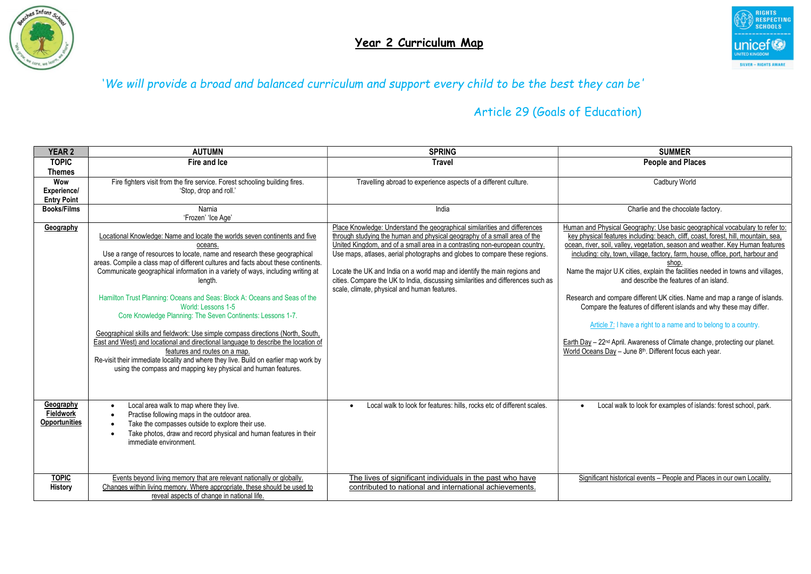



| <b>YEAR 2</b>        | <b>AUTUMN</b>                                                                       | <b>SPRING</b>                                                                       | <b>SUMMER</b>                                                                           |
|----------------------|-------------------------------------------------------------------------------------|-------------------------------------------------------------------------------------|-----------------------------------------------------------------------------------------|
| <b>TOPIC</b>         | Fire and Ice                                                                        | <b>Travel</b>                                                                       | <b>People and Places</b>                                                                |
| Themes               |                                                                                     |                                                                                     |                                                                                         |
| Wow                  | Fire fighters visit from the fire service. Forest schooling building fires.         | Travelling abroad to experience aspects of a different culture.                     | Cadbury World                                                                           |
| Experience/          | 'Stop, drop and roll.'                                                              |                                                                                     |                                                                                         |
| <b>Entry Point</b>   |                                                                                     |                                                                                     |                                                                                         |
| <b>Books/Films</b>   | Narnia                                                                              | India                                                                               | Charlie and the chocolate factory.                                                      |
|                      | 'Frozen' 'Ice Age'                                                                  | Place Knowledge: Understand the geographical similarities and differences           | Human and Physical Geography: Use basic geographical vocabulary to refer to:            |
| Geography            | Locational Knowledge: Name and locate the worlds seven continents and five          | through studying the human and physical geography of a small area of the            | key physical features including: beach, cliff, coast, forest, hill, mountain, sea.      |
|                      | oceans.                                                                             | United Kingdom, and of a small area in a contrasting non-european country.          | ocean, river, soil, valley, vegetation, season and weather. Key Human features          |
|                      | Use a range of resources to locate, name and research these geographical            | Use maps, atlases, aerial photographs and globes to compare these regions.          | including: city, town, village, factory, farm, house, office, port, harbour and         |
|                      | areas. Compile a class map of different cultures and facts about these continents.  |                                                                                     | shop.                                                                                   |
|                      | Communicate geographical information in a variety of ways, including writing at     | Locate the UK and India on a world map and identify the main regions and            | Name the major U.K cities, explain the facilities needed in towns and villages,         |
|                      | lenath.                                                                             | cities. Compare the UK to India, discussing similarities and differences such as    | and describe the features of an island.                                                 |
|                      |                                                                                     | scale, climate, physical and human features.                                        |                                                                                         |
|                      | Hamilton Trust Planning: Oceans and Seas: Block A: Oceans and Seas of the           |                                                                                     | Research and compare different UK cities. Name and map a range of islands.              |
|                      | World: Lessons 1-5                                                                  |                                                                                     | Compare the features of different islands and why these may differ.                     |
|                      | Core Knowledge Planning: The Seven Continents: Lessons 1-7.                         |                                                                                     |                                                                                         |
|                      | Geographical skills and fieldwork: Use simple compass directions (North, South,     |                                                                                     | Article 7: I have a right to a name and to belong to a country.                         |
|                      | East and West) and locational and directional language to describe the location of  |                                                                                     | Earth Day - 22 <sup>nd</sup> April. Awareness of Climate change, protecting our planet. |
|                      | features and routes on a map.                                                       |                                                                                     | World Oceans Day - June 8th. Different focus each year.                                 |
|                      | Re-visit their immediate locality and where they live. Build on earlier map work by |                                                                                     |                                                                                         |
|                      | using the compass and mapping key physical and human features.                      |                                                                                     |                                                                                         |
|                      |                                                                                     |                                                                                     |                                                                                         |
|                      |                                                                                     |                                                                                     |                                                                                         |
|                      |                                                                                     |                                                                                     |                                                                                         |
| Geography            | Local area walk to map where they live.                                             | Local walk to look for features: hills, rocks etc of different scales.<br>$\bullet$ | Local walk to look for examples of islands: forest school, park.                        |
| Fieldwork            | Practise following maps in the outdoor area.                                        |                                                                                     |                                                                                         |
| <b>Opportunities</b> | Take the compasses outside to explore their use.                                    |                                                                                     |                                                                                         |
|                      | Take photos, draw and record physical and human features in their                   |                                                                                     |                                                                                         |
|                      | immediate environment.                                                              |                                                                                     |                                                                                         |
|                      |                                                                                     |                                                                                     |                                                                                         |
|                      |                                                                                     |                                                                                     |                                                                                         |
| <b>TOPIC</b>         | Events beyond living memory that are relevant nationally or globally.               | The lives of significant individuals in the past who have                           | Significant historical events - People and Places in our own Locality.                  |
| History              | Changes within living memory. Where appropriate, these should be used to            | contributed to national and international achievements.                             |                                                                                         |
|                      | reveal aspects of change in national life.                                          |                                                                                     |                                                                                         |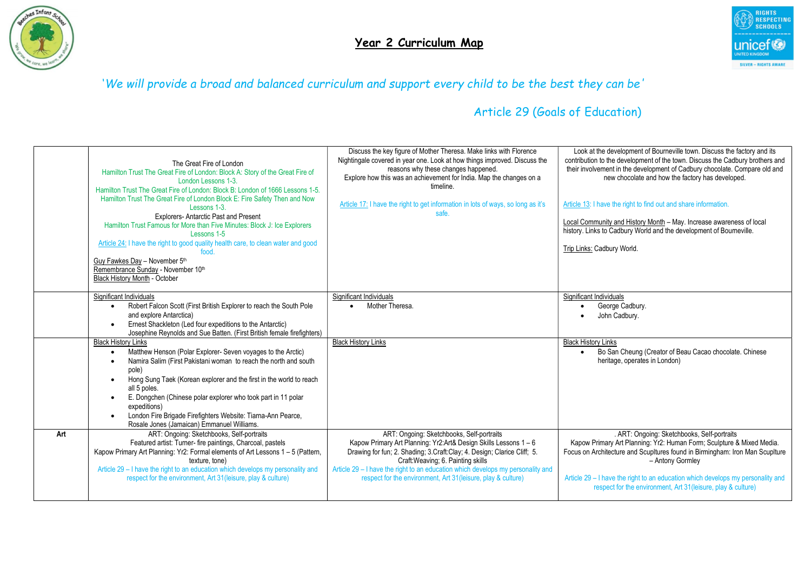



|     | The Great Fire of London<br>Hamilton Trust The Great Fire of London: Block A: Story of the Great Fire of<br>London Lessons 1-3.<br>Hamilton Trust The Great Fire of London: Block B: London of 1666 Lessons 1-5.<br>Hamilton Trust The Great Fire of London Block E: Fire Safety Then and Now<br>Lessons 1-3.<br><b>Explorers-Antarctic Past and Present</b><br>Hamilton Trust Famous for More than Five Minutes: Block J: Ice Explorers<br>Lessons 1-5<br>Article 24: I have the right to good quality health care, to clean water and good<br>food<br>Guy Fawkes Day - November 5th<br>Remembrance Sunday - November 10th<br>Black History Month - October | Discuss the key figure of Mother Theresa. Make links with Florence<br>Nightingale covered in year one. Look at how things improved. Discuss the<br>reasons why these changes happened.<br>Explore how this was an achievement for India. Map the changes on a<br>timeline.<br>Article 17: I have the right to get information in lots of ways, so long as it's<br>safe.              | Look at the development of Bourneville town. Discuss the factory and its<br>contribution to the development of the town. Discuss the Cadbury brothers and<br>their involvement in the development of Cadbury chocolate. Compare old and<br>new chocolate and how the factory has developed.<br>Article 13: I have the right to find out and share information.<br>Local Community and History Month - May. Increase awareness of local<br>history. Links to Cadbury World and the development of Bourneville.<br>Trip Links: Cadbury World. |
|-----|--------------------------------------------------------------------------------------------------------------------------------------------------------------------------------------------------------------------------------------------------------------------------------------------------------------------------------------------------------------------------------------------------------------------------------------------------------------------------------------------------------------------------------------------------------------------------------------------------------------------------------------------------------------|--------------------------------------------------------------------------------------------------------------------------------------------------------------------------------------------------------------------------------------------------------------------------------------------------------------------------------------------------------------------------------------|---------------------------------------------------------------------------------------------------------------------------------------------------------------------------------------------------------------------------------------------------------------------------------------------------------------------------------------------------------------------------------------------------------------------------------------------------------------------------------------------------------------------------------------------|
|     | Significant Individuals<br>Robert Falcon Scott (First British Explorer to reach the South Pole<br>and explore Antarctica)<br>Ernest Shackleton (Led four expeditions to the Antarctic)<br>Josephine Reynolds and Sue Batten. (First British female firefighters)                                                                                                                                                                                                                                                                                                                                                                                             | Significant Individuals<br>Mother Theresa.                                                                                                                                                                                                                                                                                                                                           | Significant Individuals<br>George Cadbury.<br>John Cadbury.                                                                                                                                                                                                                                                                                                                                                                                                                                                                                 |
|     | <b>Black History Links</b><br>Matthew Henson (Polar Explorer- Seven voyages to the Arctic)<br>Namira Salim (First Pakistani woman to reach the north and south<br>pole)<br>Hong Sung Taek (Korean explorer and the first in the world to reach<br>all 5 poles.<br>E. Dongchen (Chinese polar explorer who took part in 11 polar<br>expeditions)<br>London Fire Brigade Firefighters Website: Tiarna-Ann Pearce,<br>Rosale Jones (Jamaican) Emmanuel Williams.                                                                                                                                                                                                | <b>Black History Links</b>                                                                                                                                                                                                                                                                                                                                                           | <b>Black History Links</b><br>Bo San Cheung (Creator of Beau Cacao chocolate. Chinese<br>$\bullet$<br>heritage, operates in London)                                                                                                                                                                                                                                                                                                                                                                                                         |
| Art | ART: Ongoing: Sketchbooks, Self-portraits<br>Featured artist: Turner- fire paintings, Charcoal, pastels<br>Kapow Primary Art Planning: Yr2: Formal elements of Art Lessons 1 - 5 (Pattern,<br>texture, tone)<br>Article 29 - I have the right to an education which develops my personality and<br>respect for the environment, Art 31 (leisure, play & culture)                                                                                                                                                                                                                                                                                             | ART: Ongoing: Sketchbooks, Self-portraits<br>Kapow Primary Art Planning: Yr2:Art& Design Skills Lessons 1 - 6<br>Drawing for fun; 2. Shading; 3. Craft: Clay; 4. Design; Clarice Cliff; 5.<br>Craft: Weaving; 6. Painting skills<br>Article 29 - I have the right to an education which develops my personality and<br>respect for the environment, Art 31 (leisure, play & culture) | . ART: Ongoing: Sketchbooks, Self-portraits<br>Kapow Primary Art Planning: Yr2: Human Form; Sculpture & Mixed Media.<br>Focus on Architecture and Scupltures found in Birmingham: Iron Man Scuplture<br>- Antony Gormley<br>Article 29 - I have the right to an education which develops my personality and<br>respect for the environment, Art 31 (leisure, play & culture)                                                                                                                                                                |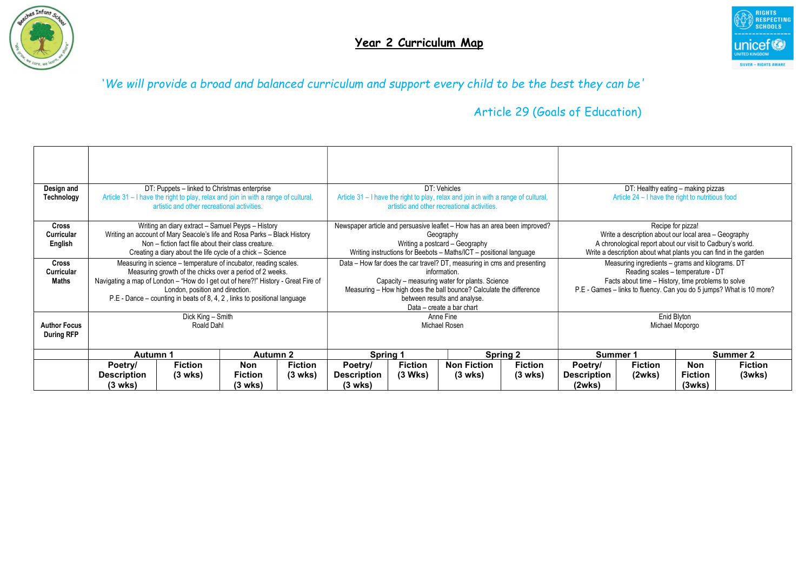



| Design and<br>Technology                   | DT: Puppets - linked to Christmas enterprise<br>Article 31 - I have the right to play, relax and join in with a range of cultural,<br>artistic and other recreational activities.                                                                                                                                                |                                     |                                  |                                     |                                          |                           | DT: Vehicles<br>Article 31 – I have the right to play, relax and join in with a range of cultural,<br>artistic and other recreational activities.                                                                                                                            |                                     | DT: Healthy eating - making pizzas<br>Article 24 – I have the right to nutritious food                                                                                                                             |                          |                                        |                          |
|--------------------------------------------|----------------------------------------------------------------------------------------------------------------------------------------------------------------------------------------------------------------------------------------------------------------------------------------------------------------------------------|-------------------------------------|----------------------------------|-------------------------------------|------------------------------------------|---------------------------|------------------------------------------------------------------------------------------------------------------------------------------------------------------------------------------------------------------------------------------------------------------------------|-------------------------------------|--------------------------------------------------------------------------------------------------------------------------------------------------------------------------------------------------------------------|--------------------------|----------------------------------------|--------------------------|
| Cross<br>Curricular<br>English             | Writing an diary extract - Samuel Peyps - History<br>Writing an account of Mary Seacole's life and Rosa Parks - Black History<br>Non – fiction fact file about their class creature.<br>Creating a diary about the life cycle of a chick - Science                                                                               |                                     |                                  |                                     |                                          |                           | Newspaper article and persuasive leaflet – How has an area been improved?<br>Geography<br>Writing a postcard - Geography<br>Writing instructions for Beebots - Maths/ICT - positional language                                                                               |                                     | Recipe for pizza!<br>Write a description about our local area - Geography<br>A chronological report about our visit to Cadbury's world.<br>Write a description about what plants you can find in the garden        |                          |                                        |                          |
| <b>Cross</b><br>Curricular<br><b>Maths</b> | Measuring in science – temperature of incubator, reading scales.<br>Measuring growth of the chicks over a period of 2 weeks.<br>Navigating a map of London - "How do I get out of here?!" History - Great Fire of<br>London, position and direction.<br>P.E - Dance – counting in beats of 8, 4, 2, links to positional language |                                     |                                  |                                     |                                          |                           | Data – How far does the car travel? DT, measuring in cms and presenting<br>information<br>Capacity – measuring water for plants. Science<br>Measuring - How high does the ball bounce? Calculate the difference<br>between results and analyse.<br>Data - create a bar chart |                                     | Measuring ingredients - grams and kilograms. DT<br>Reading scales - temperature - DT<br>Facts about time - History, time problems to solve<br>P.E - Games - links to fluency. Can you do 5 jumps? What is 10 more? |                          |                                        |                          |
| <b>Author Focus</b><br><b>During RFP</b>   | Dick King - Smith<br>Roald Dahl                                                                                                                                                                                                                                                                                                  |                                     |                                  |                                     | Anne Fine<br>Michael Rosen               |                           |                                                                                                                                                                                                                                                                              | Enid Blyton<br>Michael Moporgo      |                                                                                                                                                                                                                    |                          |                                        |                          |
|                                            | Autumn 1<br><b>Autumn 2</b>                                                                                                                                                                                                                                                                                                      |                                     |                                  | Spring 1<br><b>Spring 2</b>         |                                          |                           | Summer 1                                                                                                                                                                                                                                                                     |                                     | Summer 2                                                                                                                                                                                                           |                          |                                        |                          |
|                                            | Poetry/<br><b>Description</b><br>$(3 \text{ wks})$                                                                                                                                                                                                                                                                               | <b>Fiction</b><br>$(3 \text{ wks})$ | Non<br><b>Fiction</b><br>(3 wks) | <b>Fiction</b><br>$(3 \text{ wks})$ | Poetry/<br><b>Description</b><br>(3 wks) | <b>Fiction</b><br>(3 Wks) | <b>Non Fiction</b><br>$(3 \text{ wks})$                                                                                                                                                                                                                                      | <b>Fiction</b><br>$(3 \text{ wks})$ | Poetry/<br><b>Description</b><br>(2wks)                                                                                                                                                                            | <b>Fiction</b><br>(2wks) | <b>Non</b><br><b>Fiction</b><br>(3wks) | <b>Fiction</b><br>(3wks) |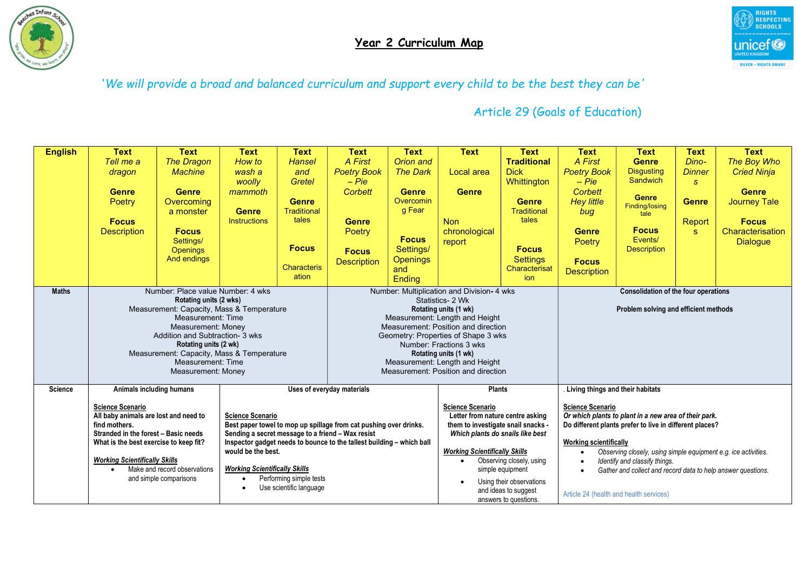



| <b>English</b> | <b>Text</b>                                                                               | <b>Text</b>                     | <b>Text</b>             | <b>Text</b>                                                                                                   | <b>Text</b>                                                       | <b>Text</b>                                                                        | <b>Text</b>                           | <b>Text</b>                                                                                     | <b>Text</b>                                                  | <b>Text</b>                                             | <b>Text</b>   | <b>Text</b>         |
|----------------|-------------------------------------------------------------------------------------------|---------------------------------|-------------------------|---------------------------------------------------------------------------------------------------------------|-------------------------------------------------------------------|------------------------------------------------------------------------------------|---------------------------------------|-------------------------------------------------------------------------------------------------|--------------------------------------------------------------|---------------------------------------------------------|---------------|---------------------|
|                | Tell me a                                                                                 | The Dragon                      | How to                  | <b>Hansel</b>                                                                                                 | A First                                                           | Orion and                                                                          |                                       | <b>Traditional</b>                                                                              | A First                                                      | <b>Genre</b>                                            | Dino-         | The Boy Who         |
|                | dragon                                                                                    | <b>Machine</b>                  | wash a                  | and                                                                                                           | <b>Poetry Book</b>                                                | <b>The Dark</b>                                                                    | Local area                            | <b>Dick</b>                                                                                     | <b>Poetry Book</b>                                           | <b>Disgusting</b>                                       | <b>Dinner</b> | <b>Cried Ninja</b>  |
|                |                                                                                           |                                 | woolly                  | Gretel                                                                                                        | $-Pie$                                                            |                                                                                    |                                       | Whittington                                                                                     | $-Pie$                                                       | <b>Sandwich</b>                                         | $\mathbf{s}$  |                     |
|                | <b>Genre</b>                                                                              | <b>Genre</b>                    | mammoth                 |                                                                                                               | <b>Corbett</b>                                                    | <b>Genre</b>                                                                       | <b>Genre</b>                          |                                                                                                 | <b>Corbett</b>                                               | <b>Genre</b>                                            |               | <b>Genre</b>        |
|                | Poetry                                                                                    | Overcoming                      |                         | <b>Genre</b>                                                                                                  |                                                                   | Overcomin                                                                          |                                       | <b>Genre</b>                                                                                    | <b>Hey little</b>                                            | Finding/losing                                          | <b>Genre</b>  | <b>Journey Tale</b> |
|                |                                                                                           | a monster                       | <b>Genre</b>            | <b>Traditional</b><br>tales                                                                                   |                                                                   | g Fear                                                                             |                                       | <b>Traditional</b><br>tales                                                                     | bug                                                          | tale                                                    |               |                     |
|                | <b>Focus</b>                                                                              |                                 | <b>Instructions</b>     |                                                                                                               | <b>Genre</b>                                                      |                                                                                    | <b>Non</b>                            |                                                                                                 |                                                              | <b>Focus</b>                                            | Report        | <b>Focus</b>        |
|                | <b>Description</b>                                                                        | <b>Focus</b>                    |                         |                                                                                                               | Poetry                                                            | <b>Focus</b>                                                                       | chronological                         |                                                                                                 | <b>Genre</b>                                                 | Events/                                                 | <b>S</b>      | Characterisation    |
|                |                                                                                           | Settings/<br><b>Openings</b>    |                         | <b>Focus</b>                                                                                                  | <b>Focus</b>                                                      | Settings/                                                                          | report                                | <b>Focus</b>                                                                                    | Poetry                                                       | <b>Description</b>                                      |               | <b>Dialogue</b>     |
|                |                                                                                           | And endings                     |                         |                                                                                                               | <b>Description</b>                                                | <b>Openings</b>                                                                    |                                       | <b>Settings</b>                                                                                 | <b>Focus</b>                                                 |                                                         |               |                     |
|                |                                                                                           |                                 |                         | <b>Characteris</b>                                                                                            |                                                                   | and                                                                                |                                       | Characterisat                                                                                   | <b>Description</b>                                           |                                                         |               |                     |
|                |                                                                                           |                                 |                         | ation                                                                                                         |                                                                   | Ending                                                                             |                                       | ion                                                                                             |                                                              |                                                         |               |                     |
| <b>Maths</b>   | Number: Place value Number: 4 wks                                                         |                                 |                         |                                                                                                               |                                                                   | Number: Multiplication and Division- 4 wks<br>Consolidation of the four operations |                                       |                                                                                                 |                                                              |                                                         |               |                     |
|                | Rotating units (2 wks)                                                                    |                                 |                         | Statistics- 2 Wk                                                                                              |                                                                   |                                                                                    |                                       |                                                                                                 |                                                              |                                                         |               |                     |
|                | Measurement: Capacity, Mass & Temperature<br>Measurement: Time                            |                                 |                         | Rotating units (1 wk)                                                                                         |                                                                   |                                                                                    | Problem solving and efficient methods |                                                                                                 |                                                              |                                                         |               |                     |
|                | Measurement: Money                                                                        |                                 |                         | Measurement: Length and Height<br>Measurement: Position and direction                                         |                                                                   |                                                                                    |                                       |                                                                                                 |                                                              |                                                         |               |                     |
|                |                                                                                           | Addition and Subtraction- 3 wks |                         |                                                                                                               |                                                                   |                                                                                    | Geometry: Properties of Shape 3 wks   |                                                                                                 |                                                              |                                                         |               |                     |
|                |                                                                                           | Rotating units (2 wk)           |                         |                                                                                                               |                                                                   |                                                                                    | Number: Fractions 3 wks               |                                                                                                 |                                                              |                                                         |               |                     |
|                | Measurement: Capacity, Mass & Temperature<br>Measurement: Time                            |                                 |                         | Rotating units (1 wk)<br>Measurement: Length and Height                                                       |                                                                   |                                                                                    |                                       |                                                                                                 |                                                              |                                                         |               |                     |
|                | Measurement: Money                                                                        |                                 |                         |                                                                                                               | Measurement: Position and direction                               |                                                                                    |                                       |                                                                                                 |                                                              |                                                         |               |                     |
|                |                                                                                           |                                 |                         |                                                                                                               |                                                                   |                                                                                    |                                       |                                                                                                 |                                                              |                                                         |               |                     |
| <b>Science</b> | Animals including humans                                                                  |                                 |                         |                                                                                                               | Uses of everyday materials                                        | <b>Plants</b>                                                                      |                                       |                                                                                                 | Living things and their habitats                             |                                                         |               |                     |
|                | <b>Science Scenario</b>                                                                   |                                 |                         |                                                                                                               | <b>Science Scenario</b>                                           |                                                                                    |                                       | <b>Science Scenario</b>                                                                         |                                                              |                                                         |               |                     |
|                | All baby animals are lost and need to                                                     |                                 | <b>Science Scenario</b> |                                                                                                               | Letter from nature centre asking                                  |                                                                                    |                                       | Or which plants to plant in a new area of their park.                                           |                                                              |                                                         |               |                     |
|                | find mothers.                                                                             |                                 |                         |                                                                                                               | Best paper towel to mop up spillage from cat pushing over drinks. |                                                                                    | them to investigate snail snacks -    |                                                                                                 |                                                              | Do different plants prefer to live in different places? |               |                     |
|                | Stranded in the forest - Basic needs<br>Sending a secret message to a friend - Wax resist |                                 |                         | Which plants do snails like best                                                                              |                                                                   |                                                                                    |                                       |                                                                                                 |                                                              |                                                         |               |                     |
|                | What is the best exercise to keep fit?<br>would be the best.                              |                                 |                         | Inspector gadget needs to bounce to the tallest building - which ball<br><b>Working Scientifically Skills</b> |                                                                   |                                                                                    |                                       | <b>Working scientifically</b>                                                                   |                                                              |                                                         |               |                     |
|                | <b>Working Scientifically Skills</b>                                                      |                                 |                         | Observing closely, using<br>$\bullet$                                                                         |                                                                   |                                                                                    |                                       | Observing closely, using simple equipment e.g. ice activities.<br>Identify and classify things. |                                                              |                                                         |               |                     |
|                | <b>Working Scientifically Skills</b><br>Make and record observations<br>$\bullet$         |                                 |                         |                                                                                                               | simple equipment                                                  |                                                                                    |                                       |                                                                                                 | Gather and collect and record data to help answer questions. |                                                         |               |                     |
|                | Performing simple tests<br>and simple comparisons<br>$\bullet$                            |                                 |                         |                                                                                                               | Using their observations                                          |                                                                                    |                                       |                                                                                                 |                                                              |                                                         |               |                     |
|                | Use scientific language<br>$\bullet$                                                      |                                 |                         |                                                                                                               | and ideas to suggest                                              |                                                                                    |                                       |                                                                                                 | Article 24 (health and health services)                      |                                                         |               |                     |
|                |                                                                                           |                                 |                         |                                                                                                               |                                                                   |                                                                                    | answers to questions.                 |                                                                                                 |                                                              |                                                         |               |                     |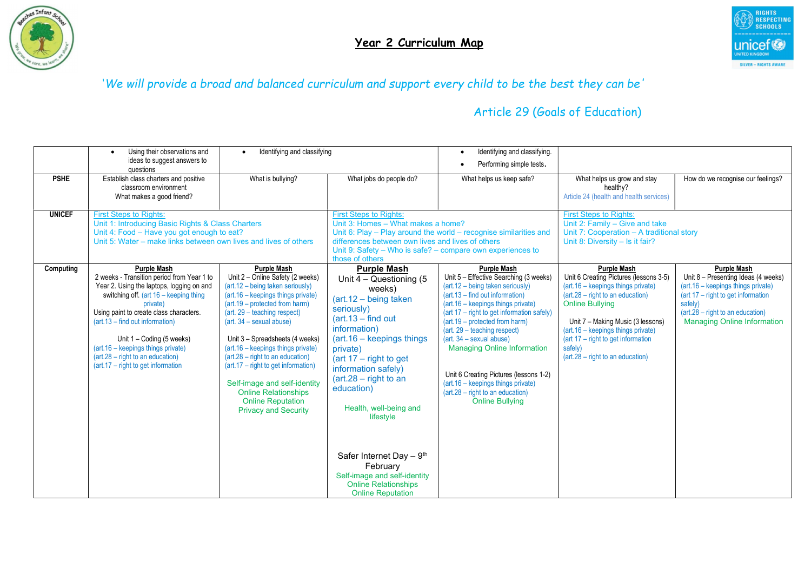



|               | Using their observations and<br>ideas to suggest answers to                                                                                                                                                                                                                                                                                                                                                                                                                                                                                                                                                                                                                                                                                                                                                                                                                                                                | Identifying and classifying |                                                                                                                                                                                                                                                                                                                                                                                                                                                                             | Identifying and classifying.<br>$\bullet$<br>Performing simple tests.                                                                                                                                                                                                                                                                                                                                                                                                                                           |                                                                                                                                                                                                                                                                                                                                                   |                                                                                                                                                                                                                            |  |
|---------------|----------------------------------------------------------------------------------------------------------------------------------------------------------------------------------------------------------------------------------------------------------------------------------------------------------------------------------------------------------------------------------------------------------------------------------------------------------------------------------------------------------------------------------------------------------------------------------------------------------------------------------------------------------------------------------------------------------------------------------------------------------------------------------------------------------------------------------------------------------------------------------------------------------------------------|-----------------------------|-----------------------------------------------------------------------------------------------------------------------------------------------------------------------------------------------------------------------------------------------------------------------------------------------------------------------------------------------------------------------------------------------------------------------------------------------------------------------------|-----------------------------------------------------------------------------------------------------------------------------------------------------------------------------------------------------------------------------------------------------------------------------------------------------------------------------------------------------------------------------------------------------------------------------------------------------------------------------------------------------------------|---------------------------------------------------------------------------------------------------------------------------------------------------------------------------------------------------------------------------------------------------------------------------------------------------------------------------------------------------|----------------------------------------------------------------------------------------------------------------------------------------------------------------------------------------------------------------------------|--|
| <b>PSHE</b>   | questions<br>Establish class charters and positive<br>classroom environment<br>What makes a good friend?                                                                                                                                                                                                                                                                                                                                                                                                                                                                                                                                                                                                                                                                                                                                                                                                                   | What is bullying?           | What jobs do people do?                                                                                                                                                                                                                                                                                                                                                                                                                                                     | What helps us keep safe?                                                                                                                                                                                                                                                                                                                                                                                                                                                                                        | What helps us grow and stay<br>healthy?<br>Article 24 (health and health services)                                                                                                                                                                                                                                                                | How do we recognise our feelings?                                                                                                                                                                                          |  |
| <b>UNICEF</b> | <b>First Steps to Rights:</b><br>Unit 1: Introducing Basic Rights & Class Charters<br>Unit 4: Food - Have you got enough to eat?<br>Unit 5: Water – make links between own lives and lives of others                                                                                                                                                                                                                                                                                                                                                                                                                                                                                                                                                                                                                                                                                                                       |                             | <b>First Steps to Rights:</b><br>Unit 3: Homes - What makes a home?<br>Unit 6: Play - Play around the world - recognise similarities and<br>differences between own lives and lives of others<br>Unit 9: Safety – Who is safe? – compare own experiences to<br>those of others                                                                                                                                                                                              |                                                                                                                                                                                                                                                                                                                                                                                                                                                                                                                 | <b>First Steps to Rights:</b><br>Unit 2: Family - Give and take<br>Unit 7: Cooperation - A traditional story<br>Unit 8: Diversity - Is it fair?                                                                                                                                                                                                   |                                                                                                                                                                                                                            |  |
| Computing     | <b>Purple Mash</b><br><b>Purple Mash</b><br>2 weeks - Transition period from Year 1 to<br>Unit 2 - Online Safety (2 weeks)<br>Year 2. Using the laptops, logging on and<br>$(art.12 - being taken seriously)$<br>switching off. (art 16 - keeping thing<br>(art.16 - keepings things private)<br>(art. 19 – protected from harm)<br>private)<br>Using paint to create class characters.<br>(art. 29 – teaching respect)<br>(art.13 – find out information)<br>$(art. 34 - sexual abuse)$<br>Unit $1 -$ Coding (5 weeks)<br>Unit 3 - Spreadsheets (4 weeks)<br>(art.16 - keepings things private)<br>(art.16 - keepings things private)<br>(art.28 - right to an education)<br>$(art.28 - right to an education)$<br>$(art.17 - right to get information)$<br>(art.17 – right to get information)<br>Self-image and self-identity<br><b>Online Relationships</b><br><b>Online Reputation</b><br><b>Privacy and Security</b> |                             | <b>Purple Mash</b><br>Unit $4 -$ Questioning (5)<br>weeks)<br>(art.12 - being taken<br>seriously)<br>$(\text{art.13} - \text{find out})$<br>information)<br>$(art.16 - keepings things)$<br>private)<br>(art $17$ – right to get<br>information safely)<br>$(art.28 - right to an$<br>education)<br>Health, well-being and<br>lifestyle<br>Safer Internet Day $-9th$<br>February<br>Self-image and self-identity<br><b>Online Relationships</b><br><b>Online Reputation</b> | <b>Purple Mash</b><br>Unit 5 - Effective Searching (3 weeks)<br>(art.12 - being taken seriously)<br>$(art.13 - find out information)$<br>(art. 16 - keepings things private)<br>(art 17 - right to get information safely)<br>(art.19 – protected from harm)<br>(art. 29 - teaching respect)<br>$(art. 34 - sexual abuse)$<br><b>Managing Online Information</b><br>Unit 6 Creating Pictures (lessons 1-2)<br>(art. 16 - keepings things private)<br>(art.28 - right to an education)<br><b>Online Bullying</b> | <b>Purple Mash</b><br>Unit 6 Creating Pictures (lessons 3-5)<br>(art. 16 – keepings things private)<br>$(\text{art.}28 - \text{right to an education})$<br><b>Online Bullying</b><br>Unit 7 - Making Music (3 lessons)<br>(art.16 - keepings things private)<br>(art 17 - right to get information<br>safely)<br>(art.28 - right to an education) | <b>Purple Mash</b><br>Unit 8 - Presenting Ideas (4 weeks)<br>(art.16 - keepings things private)<br>(art 17 – right to get information<br>safely)<br>(art.28 – right to an education)<br><b>Managing Online Information</b> |  |